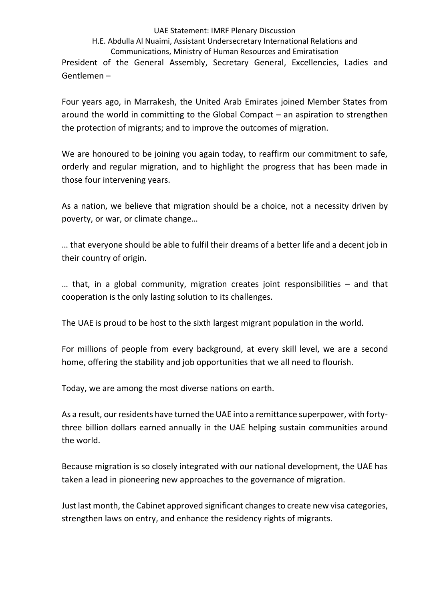## UAE Statement: IMRF Plenary Discussion

## H.E. Abdulla Al Nuaimi, Assistant Undersecretary International Relations and

Communications, Ministry of Human Resources and Emiratisation President of the General Assembly, Secretary General, Excellencies, Ladies and Gentlemen –

Four years ago, in Marrakesh, the United Arab Emirates joined Member States from around the world in committing to the Global Compact – an aspiration to strengthen the protection of migrants; and to improve the outcomes of migration.

We are honoured to be joining you again today, to reaffirm our commitment to safe, orderly and regular migration, and to highlight the progress that has been made in those four intervening years.

As a nation, we believe that migration should be a choice, not a necessity driven by poverty, or war, or climate change…

… that everyone should be able to fulfil their dreams of a better life and a decent job in their country of origin.

… that, in a global community, migration creates joint responsibilities – and that cooperation is the only lasting solution to its challenges.

The UAE is proud to be host to the sixth largest migrant population in the world.

For millions of people from every background, at every skill level, we are a second home, offering the stability and job opportunities that we all need to flourish.

Today, we are among the most diverse nations on earth.

As a result, our residents have turned the UAE into a remittance superpower, with fortythree billion dollars earned annually in the UAE helping sustain communities around the world.

Because migration is so closely integrated with our national development, the UAE has taken a lead in pioneering new approaches to the governance of migration.

Just last month, the Cabinet approved significant changes to create new visa categories, strengthen laws on entry, and enhance the residency rights of migrants.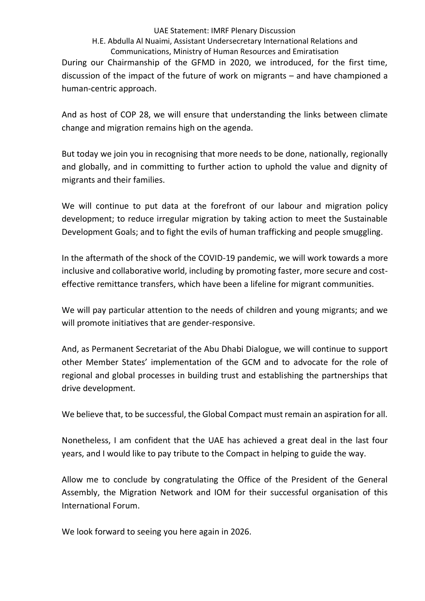UAE Statement: IMRF Plenary Discussion

## H.E. Abdulla Al Nuaimi, Assistant Undersecretary International Relations and Communications, Ministry of Human Resources and Emiratisation

During our Chairmanship of the GFMD in 2020, we introduced, for the first time, discussion of the impact of the future of work on migrants – and have championed a human-centric approach.

And as host of COP 28, we will ensure that understanding the links between climate change and migration remains high on the agenda.

But today we join you in recognising that more needs to be done, nationally, regionally and globally, and in committing to further action to uphold the value and dignity of migrants and their families.

We will continue to put data at the forefront of our labour and migration policy development; to reduce irregular migration by taking action to meet the Sustainable Development Goals; and to fight the evils of human trafficking and people smuggling.

In the aftermath of the shock of the COVID-19 pandemic, we will work towards a more inclusive and collaborative world, including by promoting faster, more secure and costeffective remittance transfers, which have been a lifeline for migrant communities.

We will pay particular attention to the needs of children and young migrants; and we will promote initiatives that are gender-responsive.

And, as Permanent Secretariat of the Abu Dhabi Dialogue, we will continue to support other Member States' implementation of the GCM and to advocate for the role of regional and global processes in building trust and establishing the partnerships that drive development.

We believe that, to be successful, the Global Compact must remain an aspiration for all.

Nonetheless, I am confident that the UAE has achieved a great deal in the last four years, and I would like to pay tribute to the Compact in helping to guide the way.

Allow me to conclude by congratulating the Office of the President of the General Assembly, the Migration Network and IOM for their successful organisation of this International Forum.

We look forward to seeing you here again in 2026.